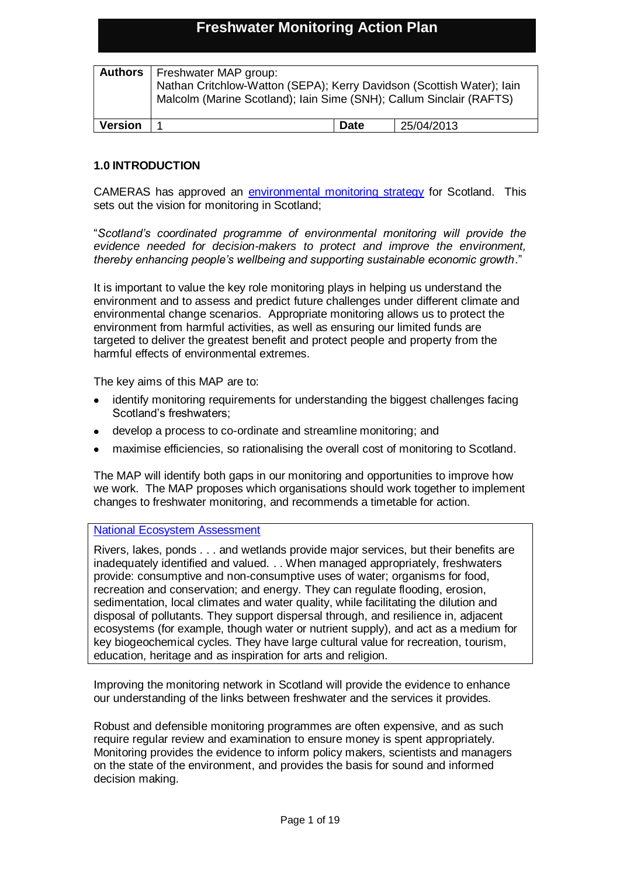# **Freshwater Monitoring Action Plan**

|                | <b>Authors</b>   Freshwater MAP group:<br>Nathan Critchlow-Watton (SEPA); Kerry Davidson (Scottish Water); lain<br>Malcolm (Marine Scotland); Iain Sime (SNH); Callum Sinclair (RAFTS) |             |            |
|----------------|----------------------------------------------------------------------------------------------------------------------------------------------------------------------------------------|-------------|------------|
| <b>Version</b> |                                                                                                                                                                                        | <b>Date</b> | 25/04/2013 |

### **1.0 INTRODUCTION**

CAMERAS has approved an [environmental monitoring strategy](http://www.camerasscotland.org/news/scottish-environmental-monitoring-strategy) for Scotland. This sets out the vision for monitoring in Scotland;

"*Scotland's coordinated programme of environmental monitoring will provide the evidence needed for decision-makers to protect and improve the environment, thereby enhancing people's wellbeing and supporting sustainable economic growth*."

It is important to value the key role monitoring plays in helping us understand the environment and to assess and predict future challenges under different climate and environmental change scenarios. Appropriate monitoring allows us to protect the environment from harmful activities, as well as ensuring our limited funds are targeted to deliver the greatest benefit and protect people and property from the harmful effects of environmental extremes.

The key aims of this MAP are to:

- identify monitoring requirements for understanding the biggest challenges facing Scotland's freshwaters;
- develop a process to co-ordinate and streamline monitoring; and
- maximise efficiencies, so rationalising the overall cost of monitoring to Scotland.

The MAP will identify both gaps in our monitoring and opportunities to improve how we work. The MAP proposes which organisations should work together to implement changes to freshwater monitoring, and recommends a timetable for action.

### [National Ecosystem Assessment](http://uknea.unep-wcmc.org/LinkClick.aspx?fileticket=AzwOPVXalXA%3d&tabid=82v)

Rivers, lakes, ponds . . . and wetlands provide major services, but their benefits are inadequately identified and valued. . . When managed appropriately, freshwaters provide: consumptive and non-consumptive uses of water; organisms for food, recreation and conservation; and energy. They can regulate flooding, erosion, sedimentation, local climates and water quality, while facilitating the dilution and disposal of pollutants. They support dispersal through, and resilience in, adjacent ecosystems (for example, though water or nutrient supply), and act as a medium for key biogeochemical cycles. They have large cultural value for recreation, tourism, education, heritage and as inspiration for arts and religion.

Improving the monitoring network in Scotland will provide the evidence to enhance our understanding of the links between freshwater and the services it provides.

Robust and defensible monitoring programmes are often expensive, and as such require regular review and examination to ensure money is spent appropriately. Monitoring provides the evidence to inform policy makers, scientists and managers on the state of the environment, and provides the basis for sound and informed decision making.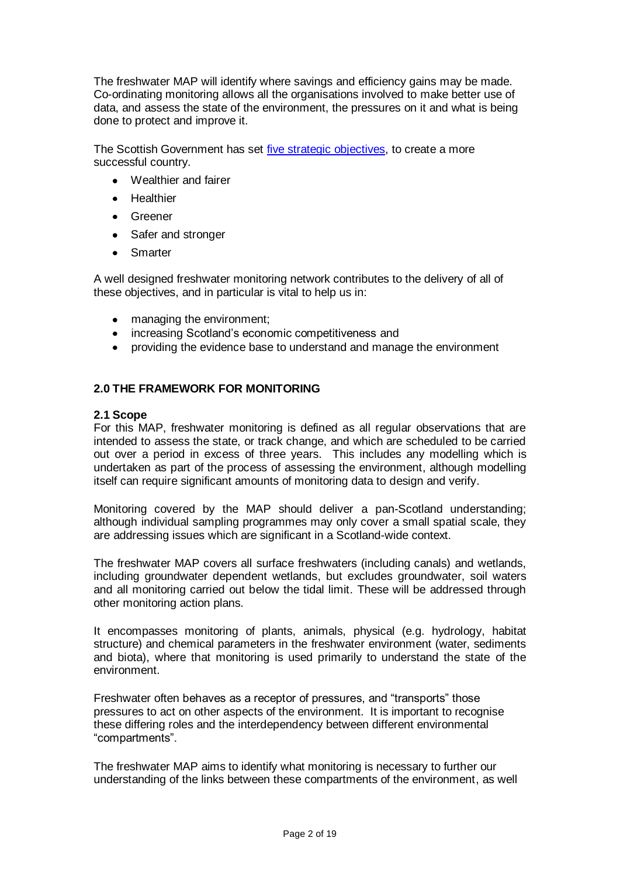The freshwater MAP will identify where savings and efficiency gains may be made. Co-ordinating monitoring allows all the organisations involved to make better use of data, and assess the state of the environment, the pressures on it and what is being done to protect and improve it.

The Scottish Government has set [five strategic objectives,](http://www.scotland.gov.uk/About/scotPerforms/objectives) to create a more successful country.

- Wealthier and fairer
- **•** Healthier
- **•** Greener
- Safer and stronger
- Smarter

A well designed freshwater monitoring network contributes to the delivery of all of these objectives, and in particular is vital to help us in:

- managing the environment;  $\bullet$
- increasing Scotland's economic competitiveness and
- providing the evidence base to understand and manage the environment

### **2.0 THE FRAMEWORK FOR MONITORING**

#### **2.1 Scope**

For this MAP, freshwater monitoring is defined as all regular observations that are intended to assess the state, or track change, and which are scheduled to be carried out over a period in excess of three years. This includes any modelling which is undertaken as part of the process of assessing the environment, although modelling itself can require significant amounts of monitoring data to design and verify.

Monitoring covered by the MAP should deliver a pan-Scotland understanding; although individual sampling programmes may only cover a small spatial scale, they are addressing issues which are significant in a Scotland-wide context.

The freshwater MAP covers all surface freshwaters (including canals) and wetlands, including groundwater dependent wetlands, but excludes groundwater, soil waters and all monitoring carried out below the tidal limit. These will be addressed through other monitoring action plans.

It encompasses monitoring of plants, animals, physical (e.g. hydrology, habitat structure) and chemical parameters in the freshwater environment (water, sediments and biota), where that monitoring is used primarily to understand the state of the environment.

Freshwater often behaves as a receptor of pressures, and "transports" those pressures to act on other aspects of the environment. It is important to recognise these differing roles and the interdependency between different environmental "compartments".

The freshwater MAP aims to identify what monitoring is necessary to further our understanding of the links between these compartments of the environment, as well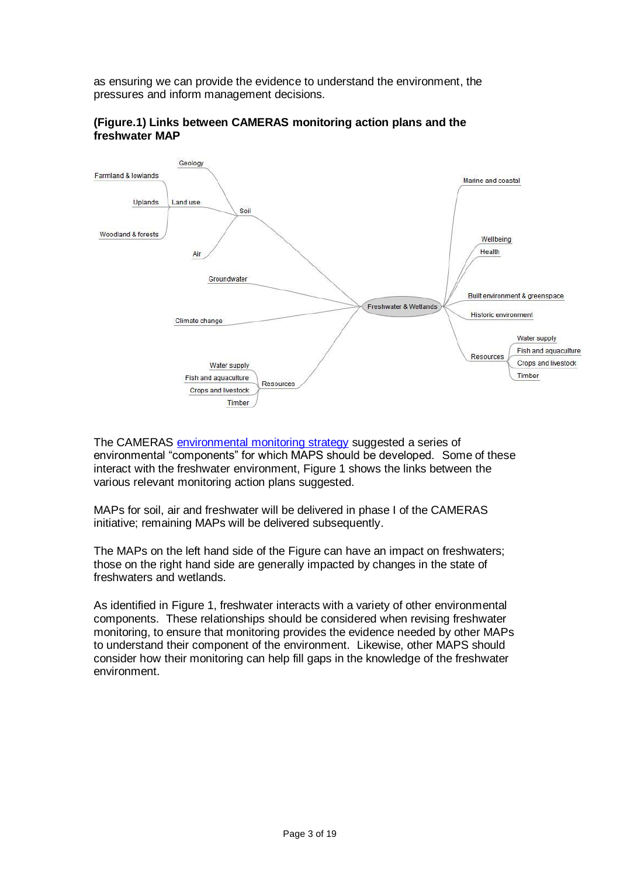as ensuring we can provide the evidence to understand the environment, the pressures and inform management decisions.



### **(Figure.1) Links between CAMERAS monitoring action plans and the freshwater MAP**

The CAMERAS [environmental monitoring strategy](http://www.camerasscotland.org/news/scottish-environmental-monitoring-strategy) suggested a series of environmental "components" for which MAPS should be developed. Some of these interact with the freshwater environment, Figure 1 shows the links between the various relevant monitoring action plans suggested.

MAPs for soil, air and freshwater will be delivered in phase I of the CAMERAS initiative; remaining MAPs will be delivered subsequently.

The MAPs on the left hand side of the Figure can have an impact on freshwaters; those on the right hand side are generally impacted by changes in the state of freshwaters and wetlands.

As identified in Figure 1, freshwater interacts with a variety of other environmental components. These relationships should be considered when revising freshwater monitoring, to ensure that monitoring provides the evidence needed by other MAPs to understand their component of the environment. Likewise, other MAPS should consider how their monitoring can help fill gaps in the knowledge of the freshwater environment.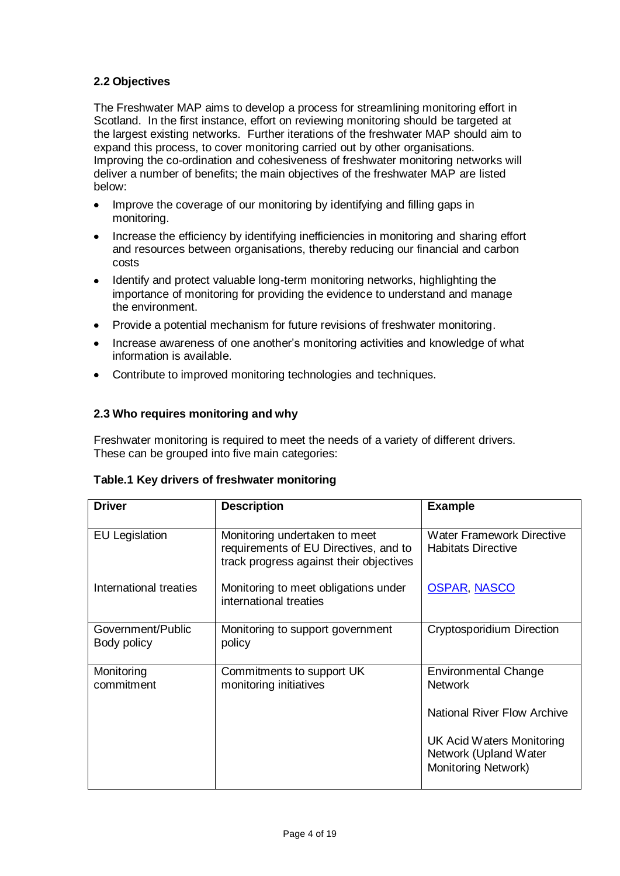# **2.2 Objectives**

The Freshwater MAP aims to develop a process for streamlining monitoring effort in Scotland. In the first instance, effort on reviewing monitoring should be targeted at the largest existing networks. Further iterations of the freshwater MAP should aim to expand this process, to cover monitoring carried out by other organisations. Improving the co-ordination and cohesiveness of freshwater monitoring networks will deliver a number of benefits; the main objectives of the freshwater MAP are listed below:

- Improve the coverage of our monitoring by identifying and filling gaps in  $\bullet$ monitoring.
- Increase the efficiency by identifying inefficiencies in monitoring and sharing effort  $\bullet$ and resources between organisations, thereby reducing our financial and carbon costs
- Identify and protect valuable long-term monitoring networks, highlighting the importance of monitoring for providing the evidence to understand and manage the environment.
- Provide a potential mechanism for future revisions of freshwater monitoring.  $\bullet$
- Increase awareness of one another's monitoring activities and knowledge of what  $\bullet$ information is available.
- Contribute to improved monitoring technologies and techniques.

# **2.3 Who requires monitoring and why**

Freshwater monitoring is required to meet the needs of a variety of different drivers. These can be grouped into five main categories:

| <b>Driver</b>                    | <b>Description</b>                                                                                                | <b>Example</b>                                                            |
|----------------------------------|-------------------------------------------------------------------------------------------------------------------|---------------------------------------------------------------------------|
| <b>EU Legislation</b>            | Monitoring undertaken to meet<br>requirements of EU Directives, and to<br>track progress against their objectives | <b>Water Framework Directive</b><br><b>Habitats Directive</b>             |
| International treaties           | Monitoring to meet obligations under<br>international treaties                                                    | <b>OSPAR, NASCO</b>                                                       |
| Government/Public<br>Body policy | Monitoring to support government<br>policy                                                                        | Cryptosporidium Direction                                                 |
| Monitoring<br>commitment         | Commitments to support UK<br>monitoring initiatives                                                               | <b>Environmental Change</b><br><b>Network</b>                             |
|                                  |                                                                                                                   | <b>National River Flow Archive</b>                                        |
|                                  |                                                                                                                   | UK Acid Waters Monitoring<br>Network (Upland Water<br>Monitoring Network) |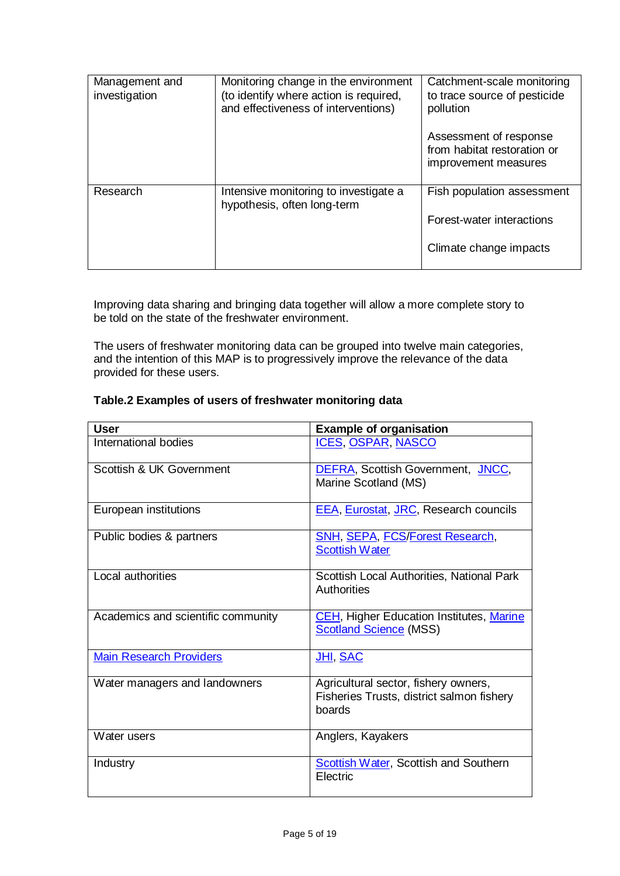| Management and<br>investigation | Monitoring change in the environment<br>(to identify where action is required,<br>and effectiveness of interventions) | Catchment-scale monitoring<br>to trace source of pesticide<br>pollution<br>Assessment of response<br>from habitat restoration or<br>improvement measures |
|---------------------------------|-----------------------------------------------------------------------------------------------------------------------|----------------------------------------------------------------------------------------------------------------------------------------------------------|
| Research                        | Intensive monitoring to investigate a<br>hypothesis, often long-term                                                  | Fish population assessment                                                                                                                               |
|                                 |                                                                                                                       | Forest-water interactions                                                                                                                                |
|                                 |                                                                                                                       | Climate change impacts                                                                                                                                   |

Improving data sharing and bringing data together will allow a more complete story to be told on the state of the freshwater environment.

The users of freshwater monitoring data can be grouped into twelve main categories, and the intention of this MAP is to progressively improve the relevance of the data provided for these users.

### **Table.2 Examples of users of freshwater monitoring data**

| <b>User</b>                        | <b>Example of organisation</b>                                                              |
|------------------------------------|---------------------------------------------------------------------------------------------|
| International bodies               | <u>ICES, OSPAR, NASCO</u>                                                                   |
| Scottish & UK Government           | DEFRA, Scottish Government, JNCC,<br>Marine Scotland (MS)                                   |
| European institutions              | <b>EEA, Eurostat, JRC, Research councils</b>                                                |
| Public bodies & partners           | <b>SNH, SEPA, FCS/Forest Research,</b><br><b>Scottish Water</b>                             |
| Local authorities                  | Scottish Local Authorities, National Park<br>Authorities                                    |
| Academics and scientific community | <b>CEH</b> , Higher Education Institutes, Marine<br><b>Scotland Science (MSS)</b>           |
| <b>Main Research Providers</b>     | <u>JHI, SAC</u>                                                                             |
| Water managers and landowners      | Agricultural sector, fishery owners,<br>Fisheries Trusts, district salmon fishery<br>boards |
| Water users                        | Anglers, Kayakers                                                                           |
| Industry                           | <b>Scottish Water, Scottish and Southern</b><br>Electric                                    |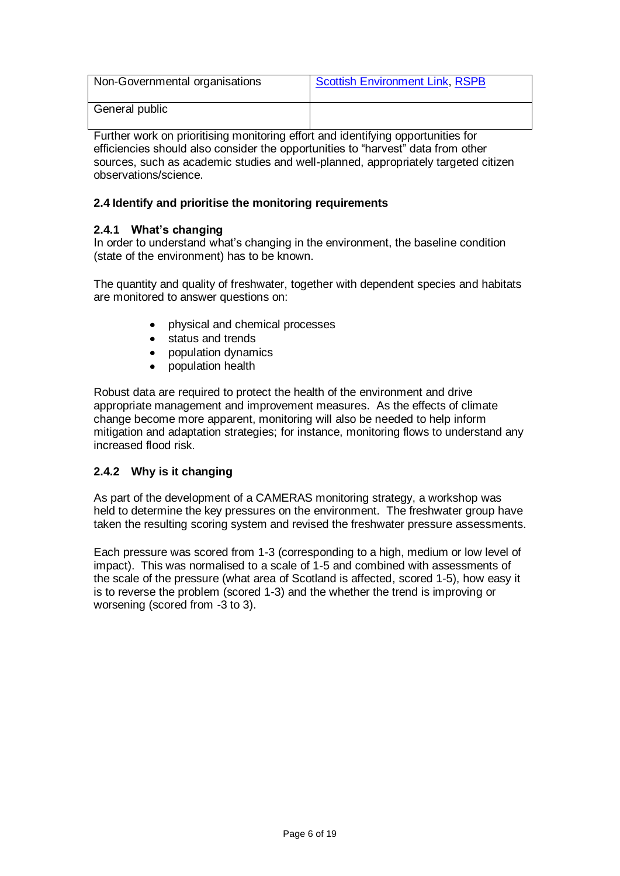| Non-Governmental organisations | <b>Scottish Environment Link, RSPB</b> |
|--------------------------------|----------------------------------------|
| General public                 |                                        |

Further work on prioritising monitoring effort and identifying opportunities for efficiencies should also consider the opportunities to "harvest" data from other sources, such as academic studies and well-planned, appropriately targeted citizen observations/science.

# **2.4 Identify and prioritise the monitoring requirements**

### **2.4.1 What's changing**

In order to understand what's changing in the environment, the baseline condition (state of the environment) has to be known.

The quantity and quality of freshwater, together with dependent species and habitats are monitored to answer questions on:

- physical and chemical processes
- status and trends
- population dynamics
- population health

Robust data are required to protect the health of the environment and drive appropriate management and improvement measures. As the effects of climate change become more apparent, monitoring will also be needed to help inform mitigation and adaptation strategies; for instance, monitoring flows to understand any increased flood risk.

### **2.4.2 Why is it changing**

As part of the development of a CAMERAS monitoring strategy, a workshop was held to determine the key pressures on the environment. The freshwater group have taken the resulting scoring system and revised the freshwater pressure assessments.

Each pressure was scored from 1-3 (corresponding to a high, medium or low level of impact). This was normalised to a scale of 1-5 and combined with assessments of the scale of the pressure (what area of Scotland is affected, scored 1-5), how easy it is to reverse the problem (scored 1-3) and the whether the trend is improving or worsening (scored from -3 to 3).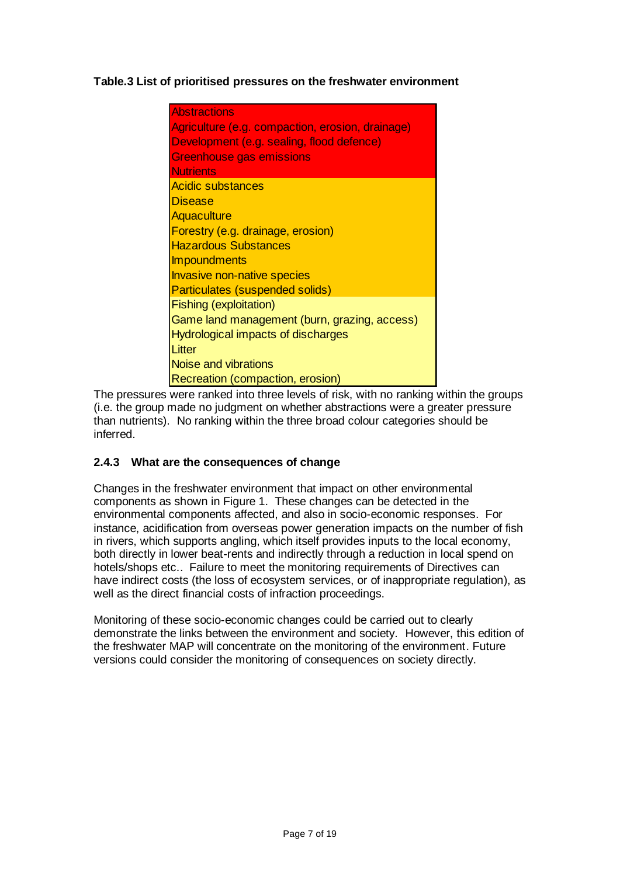# **Table.3 List of prioritised pressures on the freshwater environment**

| <b>Abstractions</b><br>Agriculture (e.g. compaction, erosion, drainage)<br>Development (e.g. sealing, flood defence)<br><b>Greenhouse gas emissions</b> |
|---------------------------------------------------------------------------------------------------------------------------------------------------------|
| <b>Nutrients</b>                                                                                                                                        |
| Acidic substances                                                                                                                                       |
| <b>Disease</b>                                                                                                                                          |
| Aquaculture                                                                                                                                             |
| <b>Forestry (e.g. drainage, erosion)</b>                                                                                                                |
| <b>Hazardous Substances</b>                                                                                                                             |
| Impoundments                                                                                                                                            |
| Invasive non-native species                                                                                                                             |
| Particulates (suspended solids)                                                                                                                         |
| <b>Fishing (exploitation)</b>                                                                                                                           |
| Game land management (burn, grazing, access)                                                                                                            |
| Hydrological impacts of discharges                                                                                                                      |
| Litter                                                                                                                                                  |
| Noise and vibrations                                                                                                                                    |
| <b>Recreation (compaction, erosion)</b>                                                                                                                 |

The pressures were ranked into three levels of risk, with no ranking within the groups (i.e. the group made no judgment on whether abstractions were a greater pressure than nutrients). No ranking within the three broad colour categories should be inferred.

# **2.4.3 What are the consequences of change**

Changes in the freshwater environment that impact on other environmental components as shown in Figure 1. These changes can be detected in the environmental components affected, and also in socio-economic responses. For instance, acidification from overseas power generation impacts on the number of fish in rivers, which supports angling, which itself provides inputs to the local economy, both directly in lower beat-rents and indirectly through a reduction in local spend on hotels/shops etc.. Failure to meet the monitoring requirements of Directives can have indirect costs (the loss of ecosystem services, or of inappropriate regulation), as well as the direct financial costs of infraction proceedings.

Monitoring of these socio-economic changes could be carried out to clearly demonstrate the links between the environment and society. However, this edition of the freshwater MAP will concentrate on the monitoring of the environment. Future versions could consider the monitoring of consequences on society directly.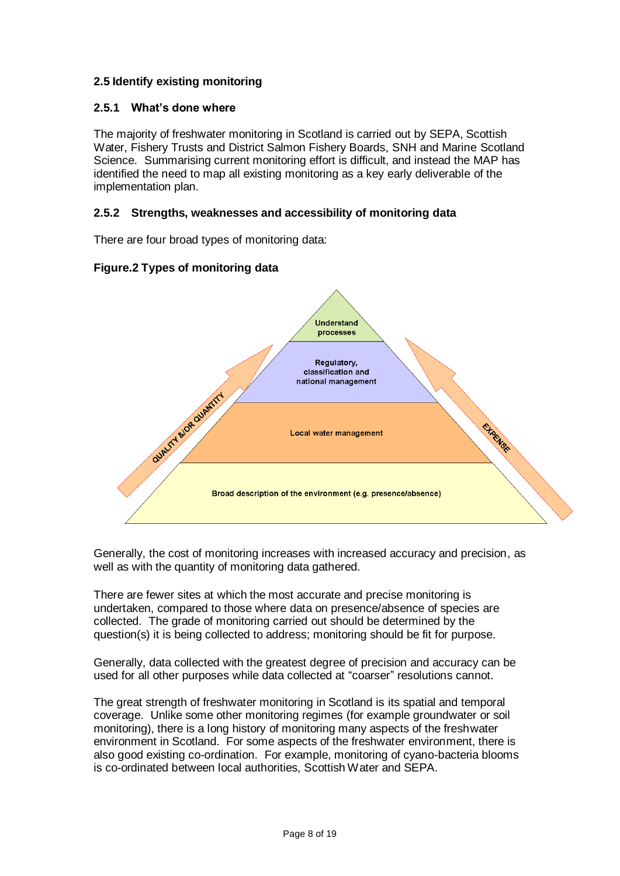# **2.5 Identify existing monitoring**

### **2.5.1 What's done where**

The majority of freshwater monitoring in Scotland is carried out by SEPA, Scottish Water, Fishery Trusts and District Salmon Fishery Boards, SNH and Marine Scotland Science. Summarising current monitoring effort is difficult, and instead the MAP has identified the need to map all existing monitoring as a key early deliverable of the implementation plan.

### **2.5.2 Strengths, weaknesses and accessibility of monitoring data**

There are four broad types of monitoring data:

### **Figure.2 Types of monitoring data**



Generally, the cost of monitoring increases with increased accuracy and precision, as well as with the quantity of monitoring data gathered.

There are fewer sites at which the most accurate and precise monitoring is undertaken, compared to those where data on presence/absence of species are collected. The grade of monitoring carried out should be determined by the question(s) it is being collected to address; monitoring should be fit for purpose.

Generally, data collected with the greatest degree of precision and accuracy can be used for all other purposes while data collected at "coarser" resolutions cannot.

The great strength of freshwater monitoring in Scotland is its spatial and temporal coverage. Unlike some other monitoring regimes (for example groundwater or soil monitoring), there is a long history of monitoring many aspects of the freshwater environment in Scotland. For some aspects of the freshwater environment, there is also good existing co-ordination. For example, monitoring of cyano-bacteria blooms is co-ordinated between local authorities, Scottish Water and SEPA.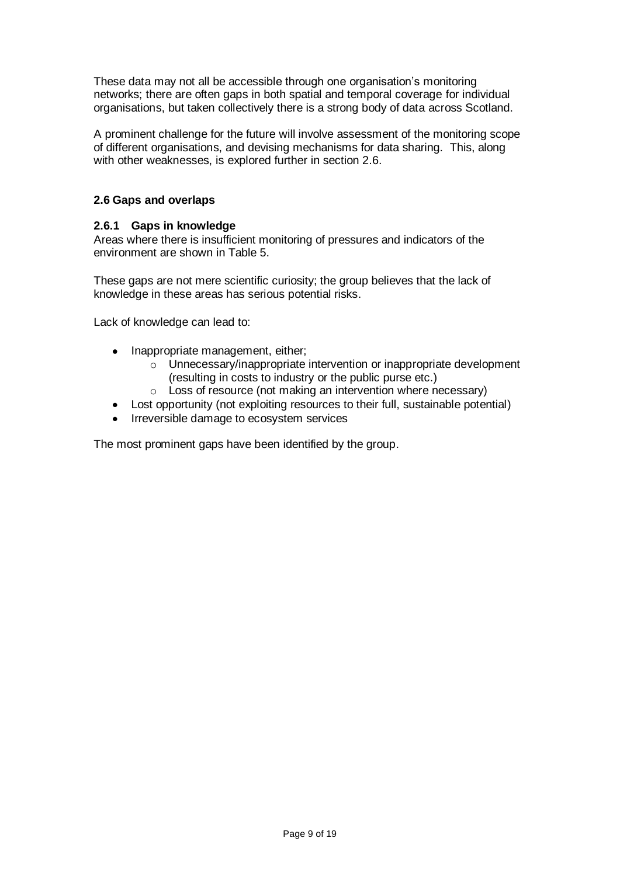These data may not all be accessible through one organisation's monitoring networks; there are often gaps in both spatial and temporal coverage for individual organisations, but taken collectively there is a strong body of data across Scotland.

A prominent challenge for the future will involve assessment of the monitoring scope of different organisations, and devising mechanisms for data sharing. This, along with other weaknesses, is explored further in section 2.6.

# **2.6 Gaps and overlaps**

### **2.6.1 Gaps in knowledge**

Areas where there is insufficient monitoring of pressures and indicators of the environment are shown in Table 5.

These gaps are not mere scientific curiosity; the group believes that the lack of knowledge in these areas has serious potential risks.

Lack of knowledge can lead to:

- Inappropriate management, either;
	- o Unnecessary/inappropriate intervention or inappropriate development (resulting in costs to industry or the public purse etc.)
	- o Loss of resource (not making an intervention where necessary)
- Lost opportunity (not exploiting resources to their full, sustainable potential)
- Irreversible damage to ecosystem services

The most prominent gaps have been identified by the group.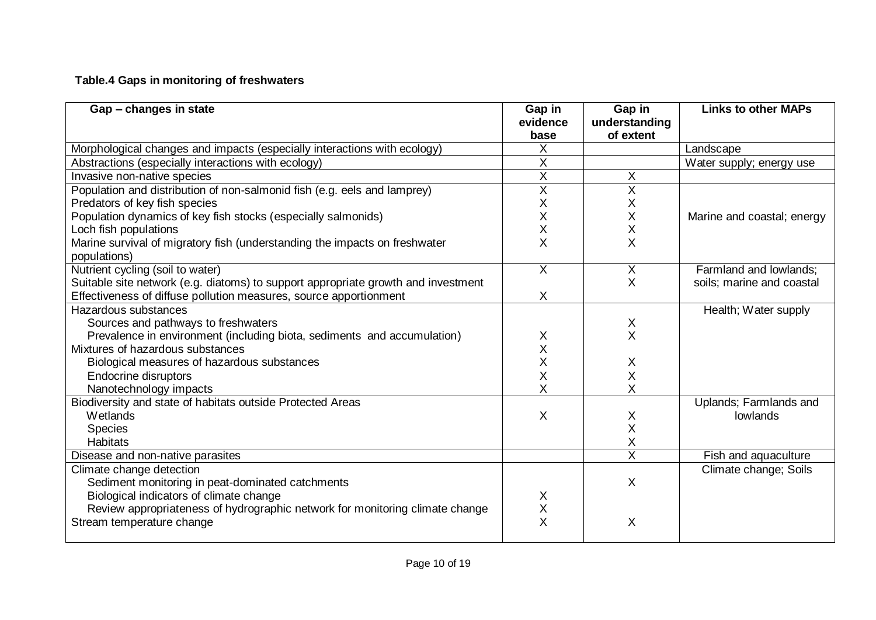# **Table.4 Gaps in monitoring of freshwaters**

| Gap - changes in state                                                            | Gap in<br>evidence<br>base | Gap in<br>understanding<br>of extent | <b>Links to other MAPs</b> |
|-----------------------------------------------------------------------------------|----------------------------|--------------------------------------|----------------------------|
| Morphological changes and impacts (especially interactions with ecology)          | X                          |                                      | Landscape                  |
| Abstractions (especially interactions with ecology)                               | X                          |                                      | Water supply; energy use   |
| Invasive non-native species                                                       | X                          | X                                    |                            |
| Population and distribution of non-salmonid fish (e.g. eels and lamprey)          | $\sf X$                    | Χ                                    |                            |
| Predators of key fish species                                                     | X                          | X                                    |                            |
| Population dynamics of key fish stocks (especially salmonids)                     | $\sf X$                    | X                                    | Marine and coastal; energy |
| Loch fish populations                                                             | $\sf X$                    | X                                    |                            |
| Marine survival of migratory fish (understanding the impacts on freshwater        | X                          | X                                    |                            |
| populations)                                                                      |                            |                                      |                            |
| Nutrient cycling (soil to water)                                                  | $\times$                   | X                                    | Farmland and lowlands;     |
| Suitable site network (e.g. diatoms) to support appropriate growth and investment |                            | X                                    | soils; marine and coastal  |
| Effectiveness of diffuse pollution measures, source apportionment                 | X                          |                                      |                            |
| Hazardous substances                                                              |                            |                                      | Health; Water supply       |
| Sources and pathways to freshwaters                                               |                            | X                                    |                            |
| Prevalence in environment (including biota, sediments and accumulation)           | X                          | X.                                   |                            |
| Mixtures of hazardous substances                                                  | X                          |                                      |                            |
| Biological measures of hazardous substances                                       | Χ                          | X                                    |                            |
| <b>Endocrine disruptors</b>                                                       | X                          | X                                    |                            |
| Nanotechnology impacts                                                            | X                          | X                                    |                            |
| Biodiversity and state of habitats outside Protected Areas                        |                            |                                      | Uplands; Farmlands and     |
| Wetlands                                                                          | X                          | X                                    | lowlands                   |
| <b>Species</b>                                                                    |                            | X                                    |                            |
| <b>Habitats</b>                                                                   |                            | X                                    |                            |
| Disease and non-native parasites                                                  |                            | $\overline{\mathsf{x}}$              | Fish and aquaculture       |
| Climate change detection                                                          |                            |                                      | Climate change; Soils      |
| Sediment monitoring in peat-dominated catchments                                  |                            | X                                    |                            |
| Biological indicators of climate change                                           | X                          |                                      |                            |
| Review appropriateness of hydrographic network for monitoring climate change      | $\sf X$                    |                                      |                            |
| Stream temperature change                                                         | X                          | X                                    |                            |
|                                                                                   |                            |                                      |                            |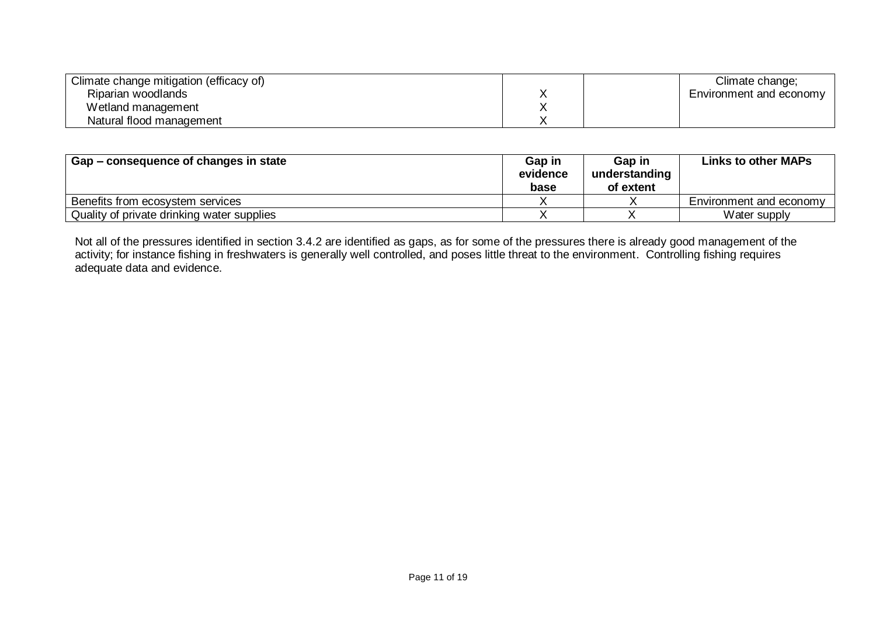| Climate change mitigation (efficacy of) | Climate change;         |
|-----------------------------------------|-------------------------|
| Riparian woodlands                      | Environment and economy |
| Wetland management                      |                         |
| Natural flood management                |                         |

| Gap – consequence of changes in state      | Gap in<br>evidence<br>base | Gap in<br>understanding<br>of extent | Links to other MAPs     |
|--------------------------------------------|----------------------------|--------------------------------------|-------------------------|
| Benefits from ecosystem services           |                            |                                      | Environment and economy |
| Quality of private drinking water supplies |                            |                                      | Water supply            |

Not all of the pressures identified in section 3.4.2 are identified as gaps, as for some of the pressures there is already good management of the activity; for instance fishing in freshwaters is generally well controlled, and poses little threat to the environment. Controlling fishing requires adequate data and evidence.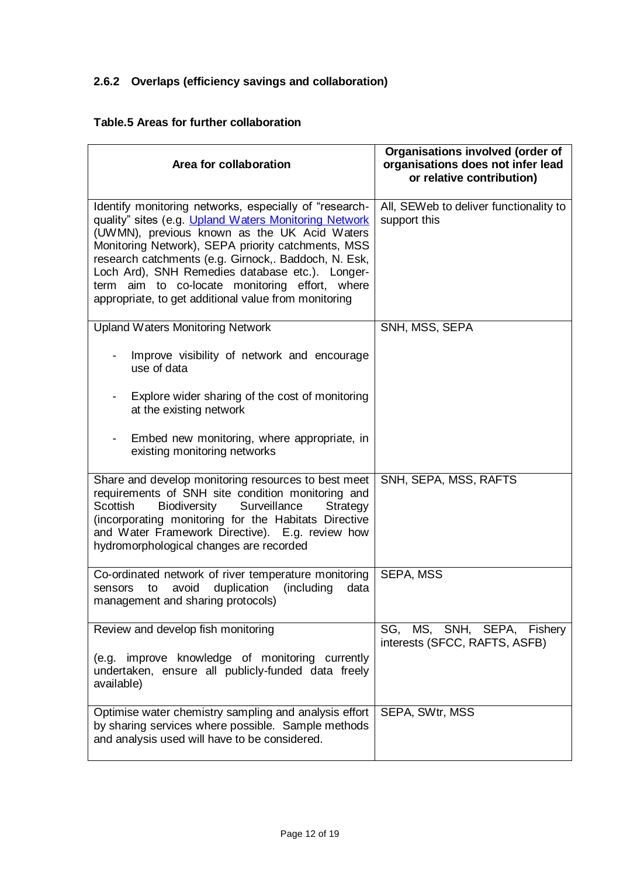# **2.6.2 Overlaps (efficiency savings and collaboration)**

# **Table.5 Areas for further collaboration**

| Area for collaboration                                                                                                                                                                                                                                                                                                                                                                                                                     | Organisations involved (order of<br>organisations does not infer lead<br>or relative contribution) |
|--------------------------------------------------------------------------------------------------------------------------------------------------------------------------------------------------------------------------------------------------------------------------------------------------------------------------------------------------------------------------------------------------------------------------------------------|----------------------------------------------------------------------------------------------------|
| Identify monitoring networks, especially of "research-<br>quality" sites (e.g. Upland Waters Monitoring Network<br>(UWMN), previous known as the UK Acid Waters<br>Monitoring Network), SEPA priority catchments, MSS<br>research catchments (e.g. Girnock,. Baddoch, N. Esk,<br>Loch Ard), SNH Remedies database etc.). Longer-<br>term aim to co-locate monitoring effort, where<br>appropriate, to get additional value from monitoring | All, SEWeb to deliver functionality to<br>support this                                             |
| <b>Upland Waters Monitoring Network</b>                                                                                                                                                                                                                                                                                                                                                                                                    | SNH, MSS, SEPA                                                                                     |
| Improve visibility of network and encourage<br>use of data                                                                                                                                                                                                                                                                                                                                                                                 |                                                                                                    |
| Explore wider sharing of the cost of monitoring<br>at the existing network                                                                                                                                                                                                                                                                                                                                                                 |                                                                                                    |
| Embed new monitoring, where appropriate, in<br>$\qquad \qquad \blacksquare$<br>existing monitoring networks                                                                                                                                                                                                                                                                                                                                |                                                                                                    |
| Share and develop monitoring resources to best meet<br>requirements of SNH site condition monitoring and<br><b>Scottish</b><br>Biodiversity<br>Surveillance<br>Strategy<br>(incorporating monitoring for the Habitats Directive<br>and Water Framework Directive). E.g. review how<br>hydromorphological changes are recorded                                                                                                              | SNH, SEPA, MSS, RAFTS                                                                              |
| Co-ordinated network of river temperature monitoring<br>avoid<br>duplication<br>(including<br>data<br>sensors<br>to<br>management and sharing protocols)                                                                                                                                                                                                                                                                                   | SEPA, MSS                                                                                          |
| Review and develop fish monitoring                                                                                                                                                                                                                                                                                                                                                                                                         | SG, MS, SNH, SEPA, Fishery<br>interests (SFCC, RAFTS, ASFB)                                        |
| (e.g. improve knowledge of monitoring currently<br>undertaken, ensure all publicly-funded data freely<br>available)                                                                                                                                                                                                                                                                                                                        |                                                                                                    |
| Optimise water chemistry sampling and analysis effort<br>by sharing services where possible. Sample methods<br>and analysis used will have to be considered.                                                                                                                                                                                                                                                                               | SEPA, SWtr, MSS                                                                                    |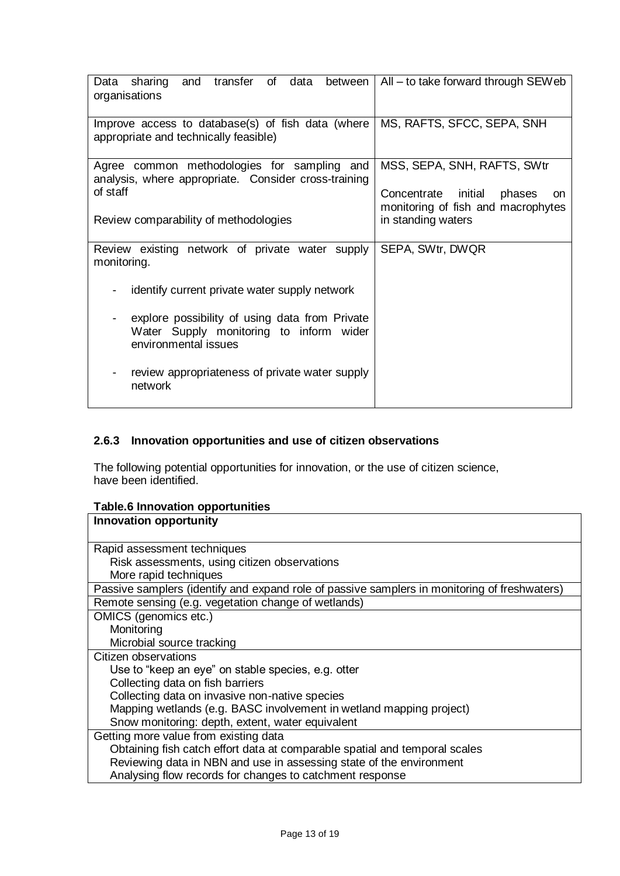| transfer<br>of data<br>Data sharing<br>and<br>between<br>organisations                                            | All – to take forward through SEWeb                                    |
|-------------------------------------------------------------------------------------------------------------------|------------------------------------------------------------------------|
| Improve access to database(s) of fish data (where<br>appropriate and technically feasible)                        | MS, RAFTS, SFCC, SEPA, SNH                                             |
| Agree common methodologies for sampling and<br>analysis, where appropriate. Consider cross-training<br>of staff   | MSS, SEPA, SNH, RAFTS, SWtr<br>Concentrate initial phases<br><b>on</b> |
| Review comparability of methodologies                                                                             | monitoring of fish and macrophytes<br>in standing waters               |
| Review existing network of private water supply<br>monitoring.                                                    | SEPA, SWtr, DWQR                                                       |
| identify current private water supply network                                                                     |                                                                        |
| explore possibility of using data from Private<br>Water Supply monitoring to inform wider<br>environmental issues |                                                                        |
| review appropriateness of private water supply<br>network                                                         |                                                                        |

# **2.6.3 Innovation opportunities and use of citizen observations**

The following potential opportunities for innovation, or the use of citizen science, have been identified.

| <b>Table.6 Innovation opportunities</b> |  |
|-----------------------------------------|--|
|-----------------------------------------|--|

| <b>Innovation opportunity</b>                                                                |
|----------------------------------------------------------------------------------------------|
| Rapid assessment techniques                                                                  |
| Risk assessments, using citizen observations                                                 |
| More rapid techniques                                                                        |
| Passive samplers (identify and expand role of passive samplers in monitoring of freshwaters) |
| Remote sensing (e.g. vegetation change of wetlands)                                          |
| OMICS (genomics etc.)                                                                        |
| Monitoring                                                                                   |
| Microbial source tracking                                                                    |
| Citizen observations                                                                         |
| Use to "keep an eye" on stable species, e.g. otter                                           |
| Collecting data on fish barriers                                                             |
| Collecting data on invasive non-native species                                               |
| Mapping wetlands (e.g. BASC involvement in wetland mapping project)                          |
| Snow monitoring: depth, extent, water equivalent                                             |
| Getting more value from existing data                                                        |
| Obtaining fish catch effort data at comparable spatial and temporal scales                   |
| Reviewing data in NBN and use in assessing state of the environment                          |
| Analysing flow records for changes to catchment response                                     |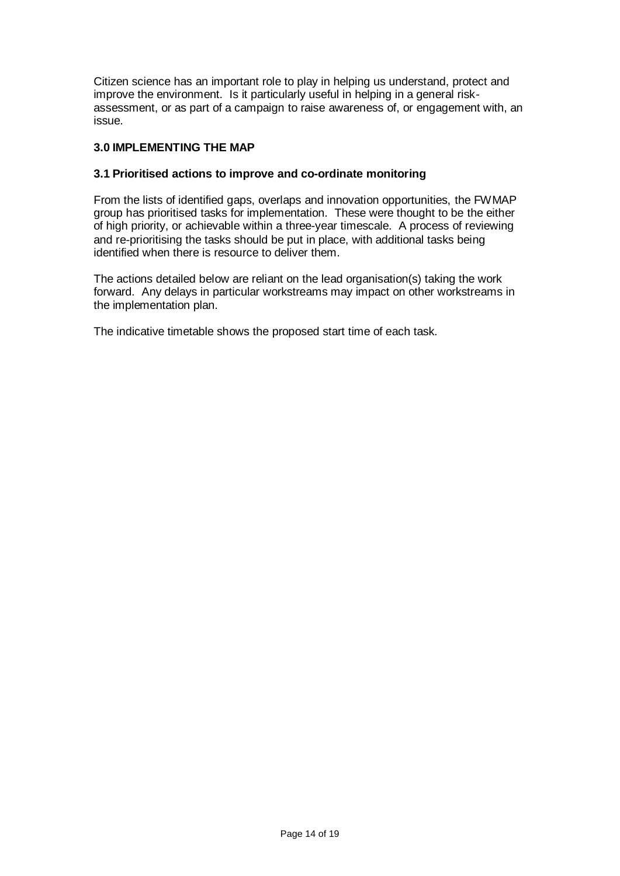Citizen science has an important role to play in helping us understand, protect and improve the environment. Is it particularly useful in helping in a general riskassessment, or as part of a campaign to raise awareness of, or engagement with, an issue.

### **3.0 IMPLEMENTING THE MAP**

### **3.1 Prioritised actions to improve and co-ordinate monitoring**

From the lists of identified gaps, overlaps and innovation opportunities, the FWMAP group has prioritised tasks for implementation. These were thought to be the either of high priority, or achievable within a three-year timescale. A process of reviewing and re-prioritising the tasks should be put in place, with additional tasks being identified when there is resource to deliver them.

The actions detailed below are reliant on the lead organisation(s) taking the work forward. Any delays in particular workstreams may impact on other workstreams in the implementation plan.

The indicative timetable shows the proposed start time of each task.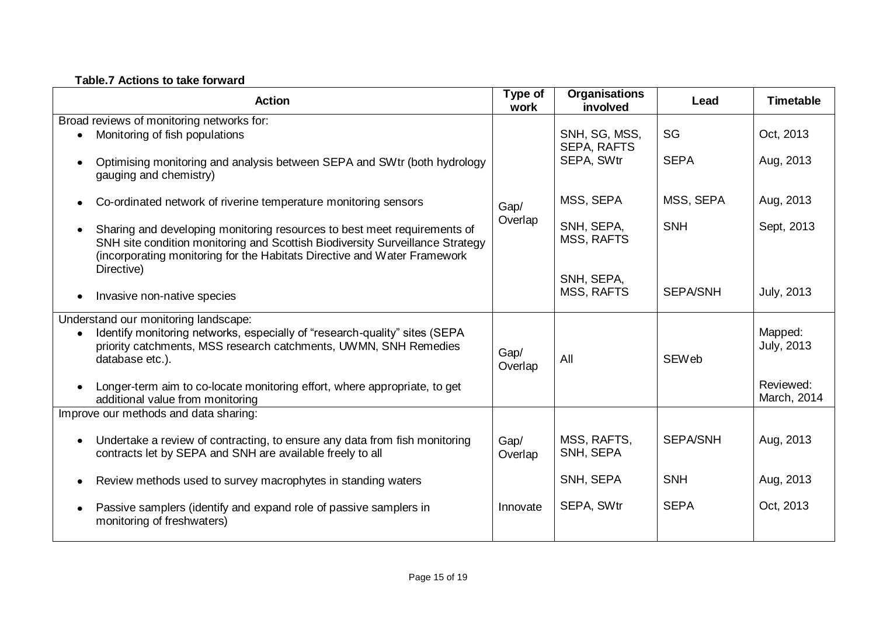# **Table.7 Actions to take forward**

|           | <b>Action</b>                                                                                                                                                                                                                         | Type of<br>work | <b>Organisations</b><br>involved | Lead            | <b>Timetable</b>             |  |  |
|-----------|---------------------------------------------------------------------------------------------------------------------------------------------------------------------------------------------------------------------------------------|-----------------|----------------------------------|-----------------|------------------------------|--|--|
|           | Broad reviews of monitoring networks for:                                                                                                                                                                                             |                 |                                  |                 |                              |  |  |
|           | Monitoring of fish populations                                                                                                                                                                                                        |                 | SNH, SG, MSS,<br>SEPA, RAFTS     | SG              | Oct, 2013                    |  |  |
|           | Optimising monitoring and analysis between SEPA and SWtr (both hydrology<br>gauging and chemistry)                                                                                                                                    | Gap/<br>Overlap | SEPA, SWtr                       | <b>SEPA</b>     | Aug, 2013                    |  |  |
| $\bullet$ | Co-ordinated network of riverine temperature monitoring sensors                                                                                                                                                                       |                 | MSS, SEPA                        | MSS, SEPA       | Aug, 2013                    |  |  |
|           | Sharing and developing monitoring resources to best meet requirements of<br>SNH site condition monitoring and Scottish Biodiversity Surveillance Strategy<br>(incorporating monitoring for the Habitats Directive and Water Framework |                 | SNH, SEPA,<br><b>MSS, RAFTS</b>  | <b>SNH</b>      | Sept, 2013                   |  |  |
|           | Directive)                                                                                                                                                                                                                            |                 | SNH, SEPA,                       |                 |                              |  |  |
| $\bullet$ | Invasive non-native species                                                                                                                                                                                                           |                 | <b>MSS, RAFTS</b>                | <b>SEPA/SNH</b> | <b>July, 2013</b>            |  |  |
|           | Understand our monitoring landscape:                                                                                                                                                                                                  |                 |                                  |                 |                              |  |  |
|           | Identify monitoring networks, especially of "research-quality" sites (SEPA<br>priority catchments, MSS research catchments, UWMN, SNH Remedies<br>database etc.).                                                                     | Gap/<br>Overlap | All                              | <b>SEWeb</b>    | Mapped:<br><b>July, 2013</b> |  |  |
| $\bullet$ | Longer-term aim to co-locate monitoring effort, where appropriate, to get<br>additional value from monitoring                                                                                                                         |                 |                                  |                 | Reviewed:<br>March, 2014     |  |  |
|           | Improve our methods and data sharing:                                                                                                                                                                                                 |                 |                                  |                 |                              |  |  |
| $\bullet$ | Undertake a review of contracting, to ensure any data from fish monitoring<br>contracts let by SEPA and SNH are available freely to all                                                                                               | Gap/<br>Overlap | MSS, RAFTS,<br>SNH, SEPA         | <b>SEPA/SNH</b> | Aug, 2013                    |  |  |
| $\bullet$ | Review methods used to survey macrophytes in standing waters                                                                                                                                                                          |                 | SNH, SEPA                        | <b>SNH</b>      | Aug, 2013                    |  |  |
| $\bullet$ | Passive samplers (identify and expand role of passive samplers in<br>monitoring of freshwaters)                                                                                                                                       | Innovate        | SEPA, SWtr                       | <b>SEPA</b>     | Oct, 2013                    |  |  |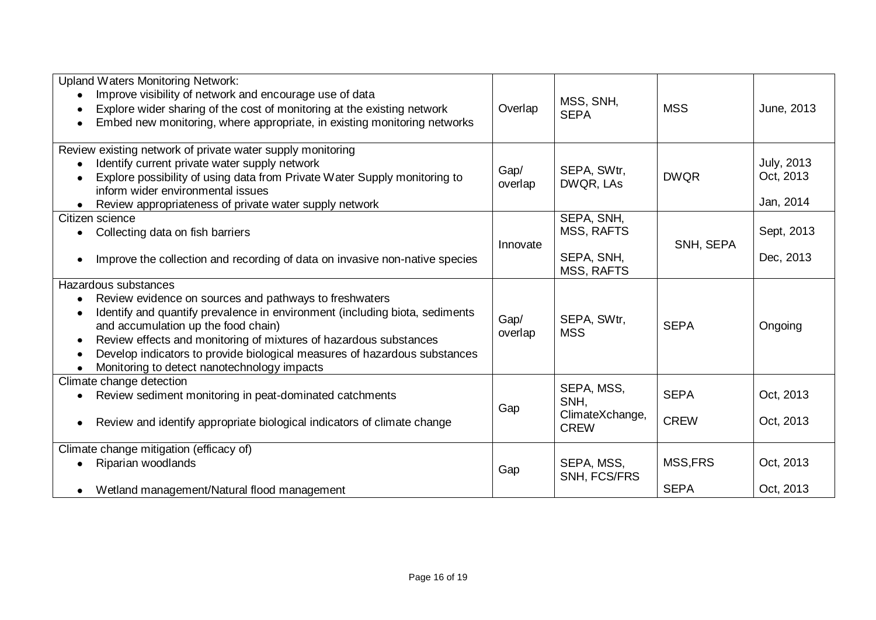| <b>Upland Waters Monitoring Network:</b><br>Improve visibility of network and encourage use of data<br>Explore wider sharing of the cost of monitoring at the existing network<br>$\bullet$<br>Embed new monitoring, where appropriate, in existing monitoring networks                                                                                                                                                        | Overlap         | MSS, SNH,<br><b>SEPA</b>       | <b>MSS</b>  | June, 2013                                  |
|--------------------------------------------------------------------------------------------------------------------------------------------------------------------------------------------------------------------------------------------------------------------------------------------------------------------------------------------------------------------------------------------------------------------------------|-----------------|--------------------------------|-------------|---------------------------------------------|
| Review existing network of private water supply monitoring<br>Identify current private water supply network<br>$\bullet$<br>Explore possibility of using data from Private Water Supply monitoring to<br>$\bullet$<br>inform wider environmental issues<br>Review appropriateness of private water supply network<br>$\bullet$                                                                                                 | Gap/<br>overlap | SEPA, SWtr,<br>DWQR, LAs       | <b>DWQR</b> | <b>July, 2013</b><br>Oct, 2013<br>Jan, 2014 |
| Citizen science                                                                                                                                                                                                                                                                                                                                                                                                                |                 | SEPA, SNH,                     |             |                                             |
| Collecting data on fish barriers                                                                                                                                                                                                                                                                                                                                                                                               | Innovate        | MSS, RAFTS                     | SNH, SEPA   | Sept, 2013                                  |
| Improve the collection and recording of data on invasive non-native species<br>$\bullet$                                                                                                                                                                                                                                                                                                                                       |                 | SEPA, SNH,<br>MSS, RAFTS       |             | Dec, 2013                                   |
| Hazardous substances                                                                                                                                                                                                                                                                                                                                                                                                           |                 |                                |             |                                             |
| Review evidence on sources and pathways to freshwaters<br>$\bullet$<br>Identify and quantify prevalence in environment (including biota, sediments<br>٠<br>and accumulation up the food chain)<br>Review effects and monitoring of mixtures of hazardous substances<br>$\bullet$<br>Develop indicators to provide biological measures of hazardous substances<br>٠<br>Monitoring to detect nanotechnology impacts<br>$\bullet$ | Gap/<br>overlap | SEPA, SWtr,<br><b>MSS</b>      | <b>SEPA</b> | Ongoing                                     |
| Climate change detection                                                                                                                                                                                                                                                                                                                                                                                                       |                 | SEPA, MSS,                     |             |                                             |
| Review sediment monitoring in peat-dominated catchments<br>٠                                                                                                                                                                                                                                                                                                                                                                   |                 | SNH,                           | <b>SEPA</b> | Oct, 2013                                   |
| Review and identify appropriate biological indicators of climate change<br>$\bullet$                                                                                                                                                                                                                                                                                                                                           | Gap             | ClimateXchange,<br><b>CREW</b> | <b>CREW</b> | Oct, 2013                                   |
| Climate change mitigation (efficacy of)                                                                                                                                                                                                                                                                                                                                                                                        |                 |                                |             |                                             |
| Riparian woodlands                                                                                                                                                                                                                                                                                                                                                                                                             | Gap             | SEPA, MSS,<br>SNH, FCS/FRS     | MSS, FRS    | Oct, 2013                                   |
| Wetland management/Natural flood management<br>$\bullet$                                                                                                                                                                                                                                                                                                                                                                       |                 |                                | <b>SEPA</b> | Oct, 2013                                   |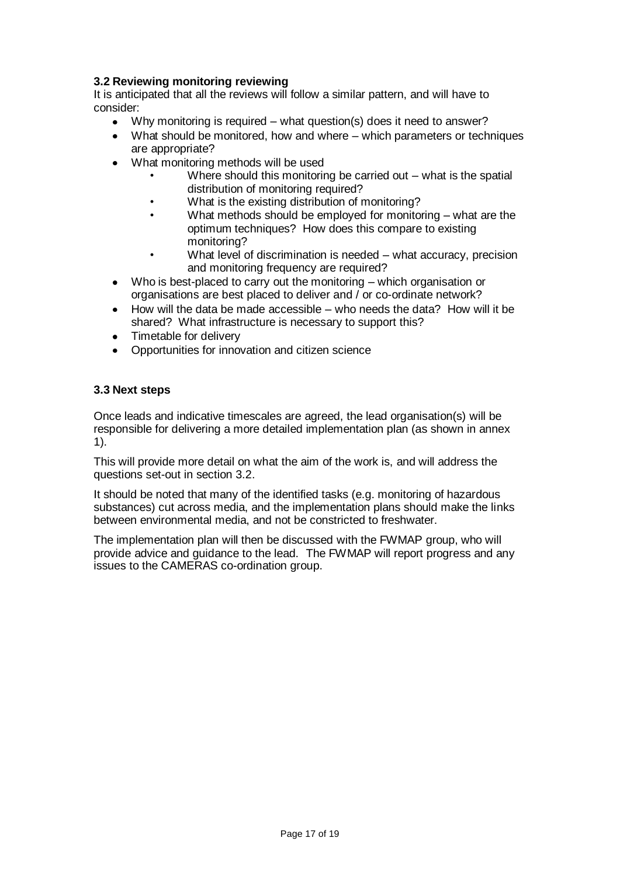# **3.2 Reviewing monitoring reviewing**

It is anticipated that all the reviews will follow a similar pattern, and will have to consider:

- Why monitoring is required what question(s) does it need to answer?  $\bullet$
- What should be monitored, how and where which parameters or techniques are appropriate?
- What monitoring methods will be used
	- Where should this monitoring be carried out  $-$  what is the spatial distribution of monitoring required?
	- What is the existing distribution of monitoring?
	- What methods should be employed for monitoring what are the optimum techniques? How does this compare to existing monitoring?
	- What level of discrimination is needed what accuracy, precision and monitoring frequency are required?
- Who is best-placed to carry out the monitoring which organisation or organisations are best placed to deliver and / or co-ordinate network?
- How will the data be made accessible who needs the data? How will it be  $\bullet$ shared? What infrastructure is necessary to support this?
- Timetable for delivery
- Opportunities for innovation and citizen science

### **3.3 Next steps**

Once leads and indicative timescales are agreed, the lead organisation(s) will be responsible for delivering a more detailed implementation plan (as shown in annex 1).

This will provide more detail on what the aim of the work is, and will address the questions set-out in section 3.2.

It should be noted that many of the identified tasks (e.g. monitoring of hazardous substances) cut across media, and the implementation plans should make the links between environmental media, and not be constricted to freshwater.

The implementation plan will then be discussed with the FWMAP group, who will provide advice and guidance to the lead. The FWMAP will report progress and any issues to the CAMERAS co-ordination group.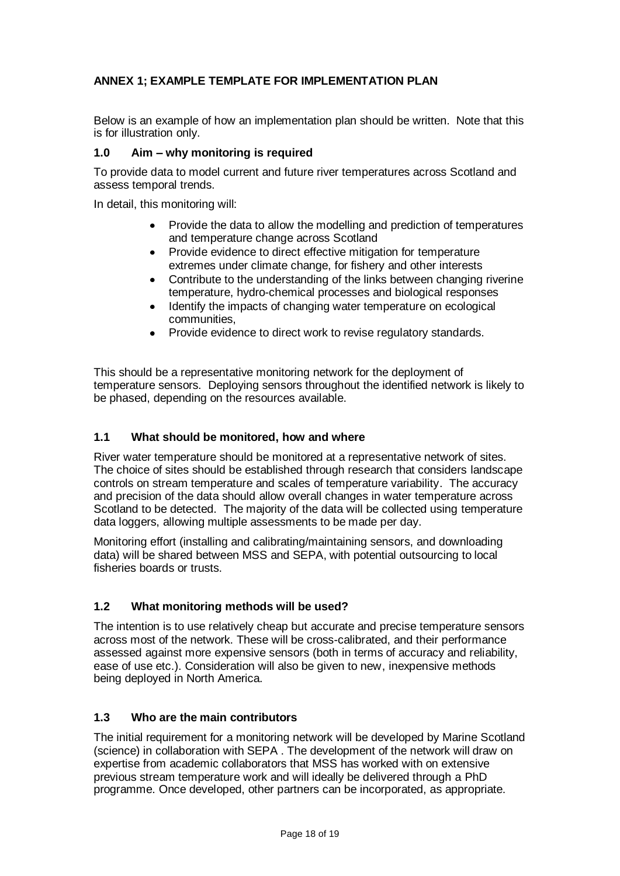# **ANNEX 1; EXAMPLE TEMPLATE FOR IMPLEMENTATION PLAN**

Below is an example of how an implementation plan should be written. Note that this is for illustration only.

# **1.0 Aim – why monitoring is required**

To provide data to model current and future river temperatures across Scotland and assess temporal trends.

In detail, this monitoring will:

- Provide the data to allow the modelling and prediction of temperatures and temperature change across Scotland
- Provide evidence to direct effective mitigation for temperature extremes under climate change, for fishery and other interests
- Contribute to the understanding of the links between changing riverine temperature, hydro-chemical processes and biological responses
- Identify the impacts of changing water temperature on ecological communities,
- Provide evidence to direct work to revise regulatory standards.

This should be a representative monitoring network for the deployment of temperature sensors. Deploying sensors throughout the identified network is likely to be phased, depending on the resources available.

### **1.1 What should be monitored, how and where**

River water temperature should be monitored at a representative network of sites. The choice of sites should be established through research that considers landscape controls on stream temperature and scales of temperature variability. The accuracy and precision of the data should allow overall changes in water temperature across Scotland to be detected. The majority of the data will be collected using temperature data loggers, allowing multiple assessments to be made per day.

Monitoring effort (installing and calibrating/maintaining sensors, and downloading data) will be shared between MSS and SEPA, with potential outsourcing to local fisheries boards or trusts.

### **1.2 What monitoring methods will be used?**

The intention is to use relatively cheap but accurate and precise temperature sensors across most of the network. These will be cross-calibrated, and their performance assessed against more expensive sensors (both in terms of accuracy and reliability, ease of use etc.). Consideration will also be given to new, inexpensive methods being deployed in North America.

### **1.3 Who are the main contributors**

The initial requirement for a monitoring network will be developed by Marine Scotland (science) in collaboration with SEPA . The development of the network will draw on expertise from academic collaborators that MSS has worked with on extensive previous stream temperature work and will ideally be delivered through a PhD programme. Once developed, other partners can be incorporated, as appropriate.